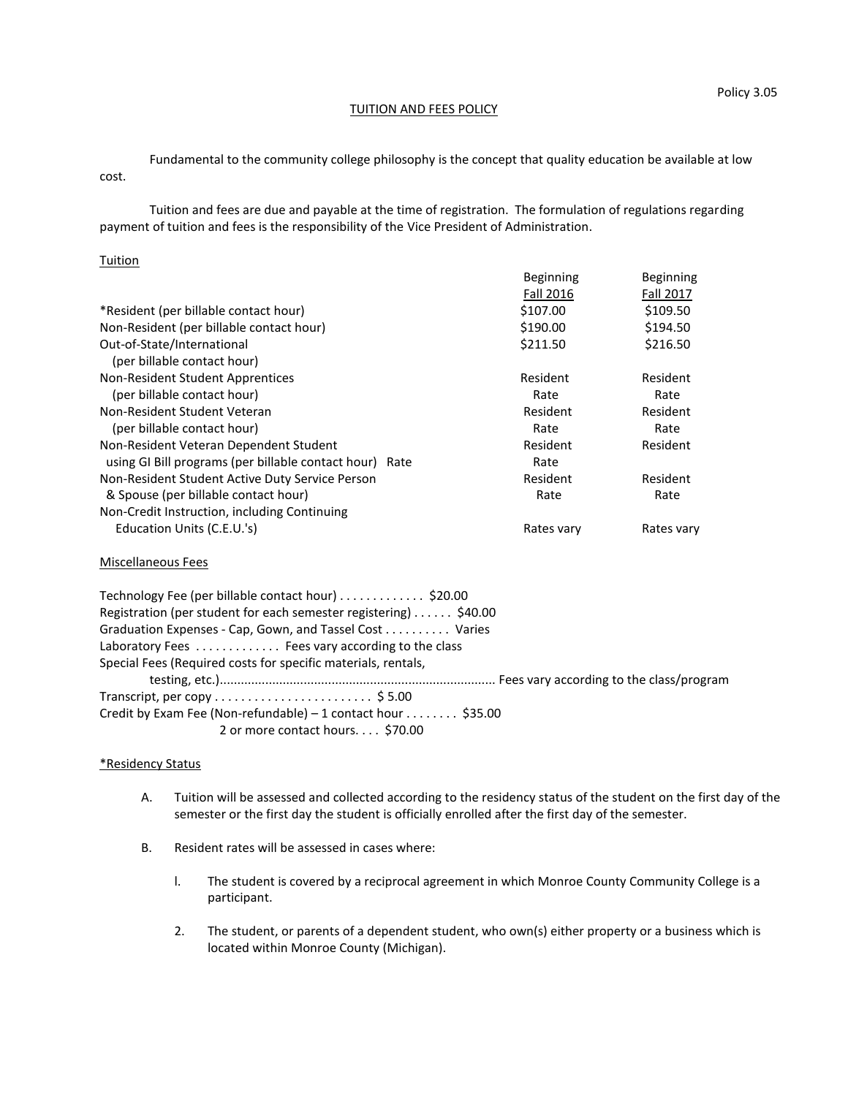# TUITION AND FEES POLICY

Fundamental to the community college philosophy is the concept that quality education be available at low cost.

Tuition and fees are due and payable at the time of registration. The formulation of regulations regarding payment of tuition and fees is the responsibility of the Vice President of Administration.

# Tuition

|                                                         | <b>Beginning</b> | <b>Beginning</b> |
|---------------------------------------------------------|------------------|------------------|
|                                                         | <b>Fall 2016</b> | <b>Fall 2017</b> |
| *Resident (per billable contact hour)                   | \$107.00         | \$109.50         |
| Non-Resident (per billable contact hour)                | \$190.00         | \$194.50         |
| Out-of-State/International                              | \$211.50         | \$216.50         |
| (per billable contact hour)                             |                  |                  |
| Non-Resident Student Apprentices                        | Resident         | Resident         |
| (per billable contact hour)                             | Rate             | Rate             |
| Non-Resident Student Veteran                            | Resident         | Resident         |
| (per billable contact hour)                             | Rate             | Rate             |
| Non-Resident Veteran Dependent Student                  | Resident         | Resident         |
| using GI Bill programs (per billable contact hour) Rate | Rate             |                  |
| Non-Resident Student Active Duty Service Person         | Resident         | Resident         |
| & Spouse (per billable contact hour)                    | Rate             | Rate             |
| Non-Credit Instruction, including Continuing            |                  |                  |
| Education Units (C.E.U.'s)                              | Rates vary       | Rates vary       |
|                                                         |                  |                  |

### Miscellaneous Fees

Technology Fee (per billable contact hour) . . . . . . . . . . . . \$20.00 Registration (per student for each semester registering) . . . . . . \$40.00 Graduation Expenses - Cap, Gown, and Tassel Cost . . . . . . . . . . Varies Laboratory Fees . . . . . . . . . . . . Fees vary according to the class Special Fees (Required costs for specific materials, rentals, testing, etc.)............................................................................... Fees vary according to the class/program Transcript, per copy . . . . . . . . . . . . . . . . . . . . . . . . \$ 5.00 Credit by Exam Fee (Non-refundable) – 1 contact hour  $\dots\dots\dots$  \$35.00 2 or more contact hours. . . . \$70.00

### \*Residency Status

- A. Tuition will be assessed and collected according to the residency status of the student on the first day of the semester or the first day the student is officially enrolled after the first day of the semester.
- B. Resident rates will be assessed in cases where:
	- l. The student is covered by a reciprocal agreement in which Monroe County Community College is a participant.
	- 2. The student, or parents of a dependent student, who own(s) either property or a business which is located within Monroe County (Michigan).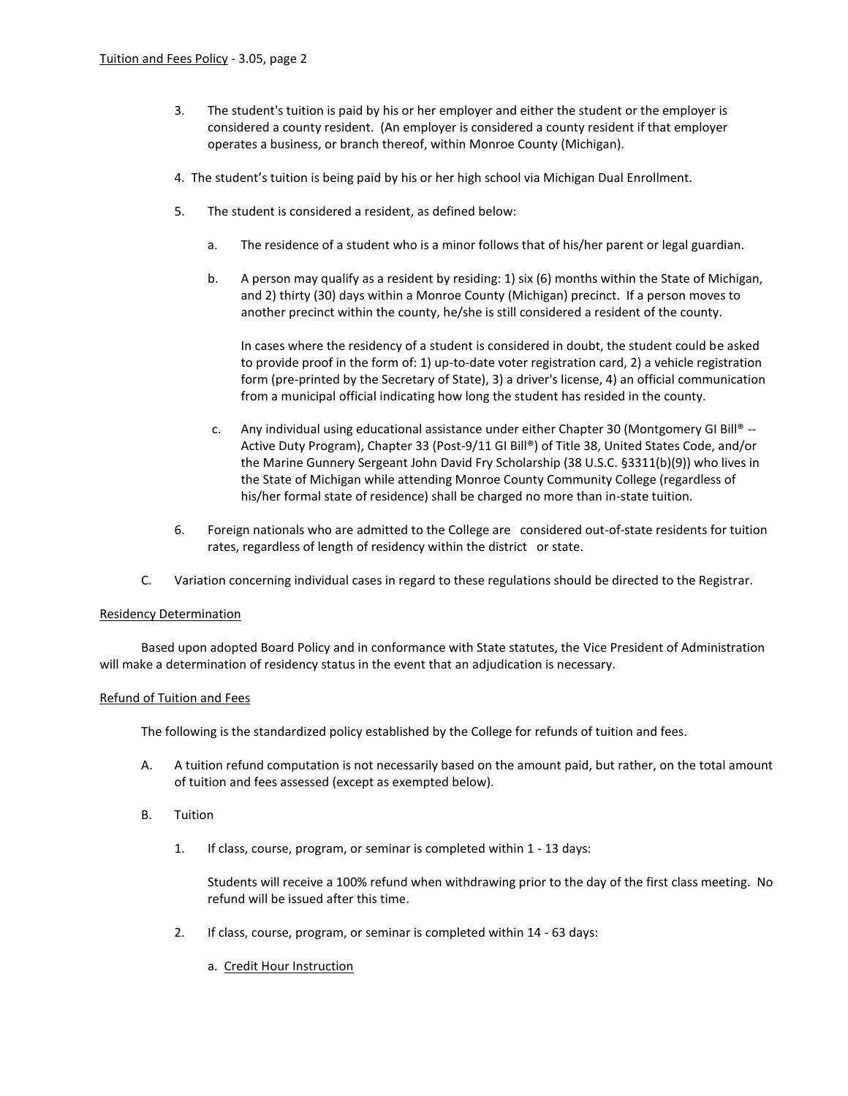- 3. The student's tuition is paid by his or her employer and either the student or the employer is considered a county resident. (An employer is considered a county resident if that employer operates a business, or branch thereof, within Monroe County (Michigan).
- 4. The student's tuition is being paid by his or her high school via Michigan Dual Enrollment.
- 5. The student is considered a resident, as defined below:
	- a. The residence of a student who is a minor follows that of his/her parent or legal guardian.
	- b. A person may qualify as a resident by residing: 1) six (6) months within the State of Michigan, and 2) thirty (30) days within a Monroe County (Michigan) precinct. If a person moves to another precinct within the county, he/she is still considered a resident of the county.

In cases where the residency of a student is considered in doubt, the student could be asked to provide proof in the form of: 1) up-to-date voter registration card, 2) a vehicle registration form (pre-printed by the Secretary of State), 3) a driver's license, 4) an official communication from a municipal official indicating how long the student has resided in the county.

- c. Any individual using educational assistance under either Chapter 30 (Montgomery GI Bill® -- Active Duty Program), Chapter 33 (Post-9/11 GI Bill®) of Title 38, United States Code, and/or the Marine Gunnery Sergeant John David Fry Scholarship (38 U.S.C. §3311(b)(9)) who lives in the State of Michigan while attending Monroe County Community College (regardless of his/her formal state of residence) shall be charged no more than in-state tuition.
- 6. Foreign nationals who are admitted to the College are considered out-of-state residents for tuition rates, regardless of length of residency within the district or state.
- C. Variation concerning individual cases in regard to these regulations should be directed to the Registrar.

# Residency Determination

Based upon adopted Board Policy and in conformance with State statutes, the Vice President of Administration will make a determination of residency status in the event that an adjudication is necessary.

# Refund of Tuition and Fees

The following is the standardized policy established by the College for refunds of tuition and fees.

- A. A tuition refund computation is not necessarily based on the amount paid, but rather, on the total amount of tuition and fees assessed (except as exempted below).
- B. Tuition
	- 1. If class, course, program, or seminar is completed within 1 13 days:

Students will receive a 100% refund when withdrawing prior to the day of the first class meeting. No refund will be issued after this time.

- 2. If class, course, program, or seminar is completed within 14 63 days:
	- a. Credit Hour Instruction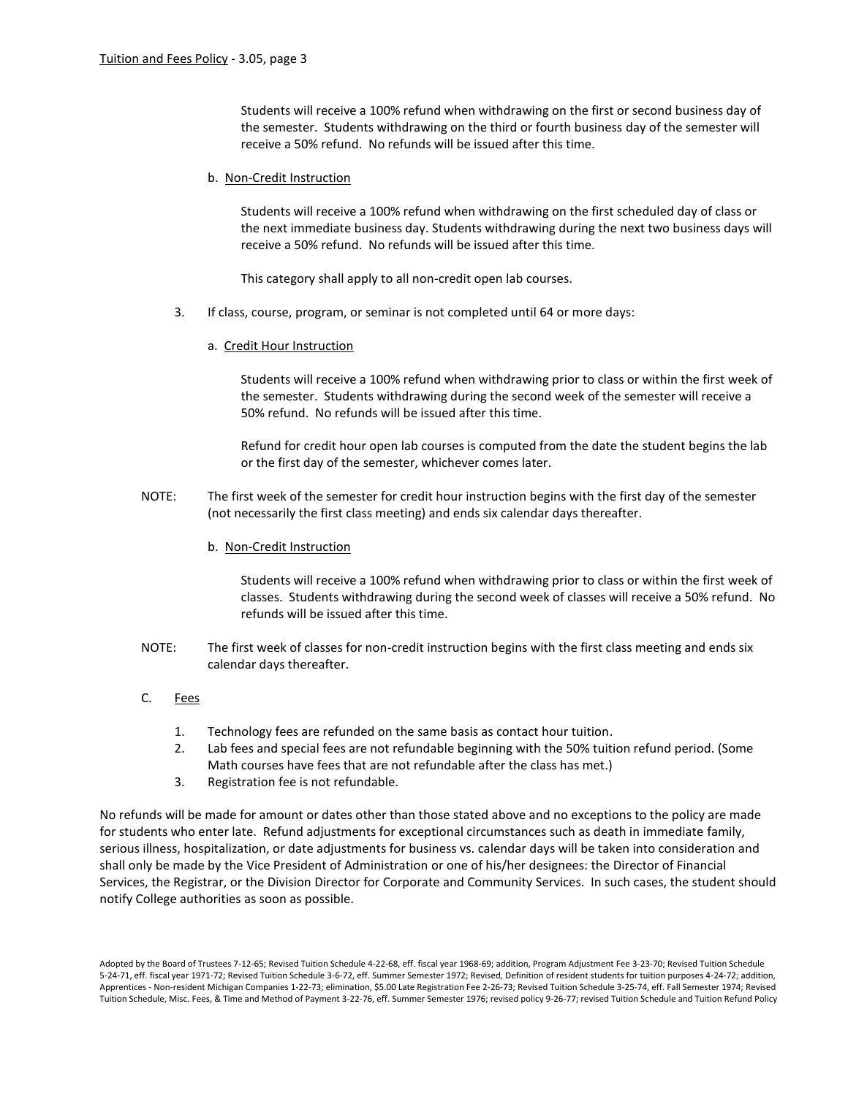Students will receive a 100% refund when withdrawing on the first or second business day of the semester. Students withdrawing on the third or fourth business day of the semester will receive a 50% refund. No refunds will be issued after this time.

b. Non-Credit Instruction

Students will receive a 100% refund when withdrawing on the first scheduled day of class or the next immediate business day. Students withdrawing during the next two business days will receive a 50% refund. No refunds will be issued after this time.

This category shall apply to all non-credit open lab courses.

- 3. If class, course, program, or seminar is not completed until 64 or more days:
	- a. Credit Hour Instruction

Students will receive a 100% refund when withdrawing prior to class or within the first week of the semester. Students withdrawing during the second week of the semester will receive a 50% refund. No refunds will be issued after this time.

Refund for credit hour open lab courses is computed from the date the student begins the lab or the first day of the semester, whichever comes later.

- NOTE: The first week of the semester for credit hour instruction begins with the first day of the semester (not necessarily the first class meeting) and ends six calendar days thereafter.
	- b. Non-Credit Instruction

Students will receive a 100% refund when withdrawing prior to class or within the first week of classes. Students withdrawing during the second week of classes will receive a 50% refund. No refunds will be issued after this time.

- NOTE: The first week of classes for non-credit instruction begins with the first class meeting and ends six calendar days thereafter.
- C. Fees
	- 1. Technology fees are refunded on the same basis as contact hour tuition.
	- 2. Lab fees and special fees are not refundable beginning with the 50% tuition refund period. (Some Math courses have fees that are not refundable after the class has met.)
	- 3. Registration fee is not refundable.

No refunds will be made for amount or dates other than those stated above and no exceptions to the policy are made for students who enter late. Refund adjustments for exceptional circumstances such as death in immediate family, serious illness, hospitalization, or date adjustments for business vs. calendar days will be taken into consideration and shall only be made by the Vice President of Administration or one of his/her designees: the Director of Financial Services, the Registrar, or the Division Director for Corporate and Community Services. In such cases, the student should notify College authorities as soon as possible.